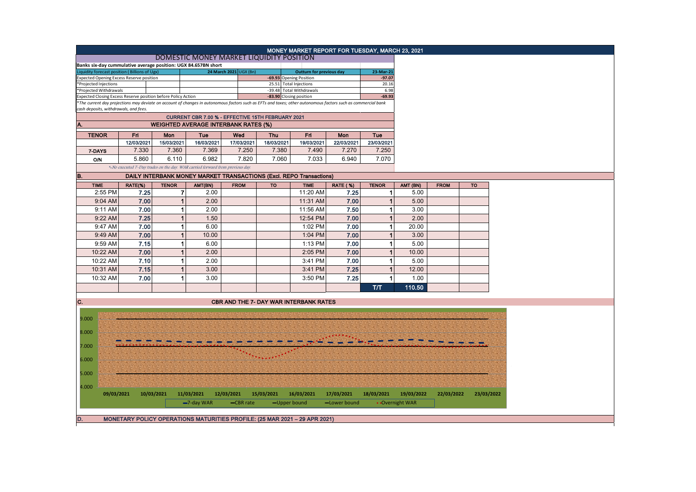|                                                                                                                                           |            |                                       |                | DOMESTIC MONEY MARKET LIQUIDITY POSITION                                                                                                                      |                                               |                          |                                 | MONEY MARKET REPORT FOR TUESDAY, MARCH 23, 2021 |              |                 |             |            |
|-------------------------------------------------------------------------------------------------------------------------------------------|------------|---------------------------------------|----------------|---------------------------------------------------------------------------------------------------------------------------------------------------------------|-----------------------------------------------|--------------------------|---------------------------------|-------------------------------------------------|--------------|-----------------|-------------|------------|
|                                                                                                                                           |            |                                       |                |                                                                                                                                                               |                                               |                          |                                 |                                                 |              |                 |             |            |
| Banks six-day cummulative average position: UGX 84.657BN short<br>Liquidity forecast position (Billions of Ugx)<br>24 March 2021 UGX (Bn) |            |                                       |                |                                                                                                                                                               |                                               |                          | <b>Outturn for previous day</b> |                                                 | 23-Mar-21    |                 |             |            |
| <b>Expected Opening Excess Reserve position</b>                                                                                           |            |                                       |                |                                                                                                                                                               |                                               | -69.93 Opening Position  |                                 | $-97.07$                                        |              |                 |             |            |
| *Projected Injections                                                                                                                     |            |                                       |                |                                                                                                                                                               | 25.51 Total Injections                        |                          |                                 | 20.16                                           |              |                 |             |            |
| *Projected Withdrawals                                                                                                                    |            |                                       |                |                                                                                                                                                               |                                               | -39.48 Total Withdrawals |                                 | 6.98                                            |              |                 |             |            |
| Expected Closing Excess Reserve position before Policy Action<br>-83.90 Closing position<br>$-69.93$                                      |            |                                       |                |                                                                                                                                                               |                                               |                          |                                 |                                                 |              |                 |             |            |
|                                                                                                                                           |            | cash deposits, withdrawals, and fees. |                | *The current day projections may deviate on account of changes in autonomous factors such as EFTs and taxes; other autonomous factors such as commercial bank |                                               |                          |                                 |                                                 |              |                 |             |            |
|                                                                                                                                           |            |                                       |                |                                                                                                                                                               |                                               |                          |                                 |                                                 |              |                 |             |            |
| CURRENT CBR 7.00 % - EFFECTIVE 15TH FEBRUARY 2021<br><b>WEIGHTED AVERAGE INTERBANK RATES (%)</b><br>A.                                    |            |                                       |                |                                                                                                                                                               |                                               |                          |                                 |                                                 |              |                 |             |            |
| <b>TENOR</b>                                                                                                                              |            | Fri                                   | Mon            | Tue                                                                                                                                                           | Wed                                           | <b>Thu</b>               | Fri                             | Mon                                             | Tue          |                 |             |            |
|                                                                                                                                           |            | 12/03/2021                            | 15/03/2021     | 16/03/2021                                                                                                                                                    | 17/03/2021                                    | 18/03/2021               | 19/03/2021                      | 22/03/2021                                      | 23/03/2021   |                 |             |            |
|                                                                                                                                           |            | 7.330                                 | 7.360          | 7.369                                                                                                                                                         | 7.250                                         | 7.380                    | 7.490                           | 7.270                                           | 7.250        |                 |             |            |
| 7-DAYS                                                                                                                                    |            |                                       |                |                                                                                                                                                               |                                               |                          |                                 |                                                 |              |                 |             |            |
| <b>O/N</b>                                                                                                                                |            | 5.860                                 | 6.110          | 6.982                                                                                                                                                         | 7.820                                         | 7.060                    | 7.033                           | 6.940                                           | 7.070        |                 |             |            |
|                                                                                                                                           |            |                                       |                | *-No executed 7-Day trades on the day. WAR carried forward from previous day.                                                                                 |                                               |                          |                                 |                                                 |              |                 |             |            |
| B.                                                                                                                                        |            |                                       |                | DAILY INTERBANK MONEY MARKET TRANSACTIONS (Excl. REPO Transactions)                                                                                           |                                               |                          |                                 |                                                 |              |                 |             |            |
| <b>TIME</b>                                                                                                                               |            | RATE(%)                               | <b>TENOR</b>   | AMT(BN)                                                                                                                                                       | <b>FROM</b>                                   | <b>TO</b>                | <b>TIME</b>                     | <b>RATE (%)</b>                                 | <b>TENOR</b> | AMT (BN)        | <b>FROM</b> | <b>TO</b>  |
|                                                                                                                                           | 2:55 PM    | 7.25                                  | 7              | 2.00                                                                                                                                                          |                                               |                          | 11:20 AM                        | 7.25                                            | 1            | 5.00            |             |            |
|                                                                                                                                           | 9:04 AM    | 7.00                                  | $\mathbf{1}$   | 2.00                                                                                                                                                          |                                               |                          | 11:31 AM                        | 7.00                                            | $\mathbf{1}$ | 5.00            |             |            |
|                                                                                                                                           | 9:11 AM    | 7.00                                  | 1              | 2.00                                                                                                                                                          |                                               |                          | 11:56 AM                        | 7.50                                            | $\mathbf{1}$ | 3.00            |             |            |
|                                                                                                                                           | 9:22 AM    | 7.25                                  | $\mathbf{1}$   | 1.50                                                                                                                                                          |                                               |                          | 12:54 PM                        | 7.00                                            | $\mathbf{1}$ | 2.00            |             |            |
|                                                                                                                                           | 9:47 AM    | 7.00                                  | 1              | 6.00                                                                                                                                                          |                                               |                          | 1:02 PM                         | 7.00                                            | $\mathbf{1}$ | 20.00           |             |            |
|                                                                                                                                           | 9:49 AM    | 7.00                                  | $\mathbf{1}$   | 10.00                                                                                                                                                         |                                               |                          | 1:04 PM                         | 7.00                                            | $\mathbf{1}$ | 3.00            |             |            |
|                                                                                                                                           | 9:59 AM    | 7.15                                  | 1              | 6.00                                                                                                                                                          |                                               |                          | 1:13 PM                         | 7.00                                            | 1            | 5.00            |             |            |
|                                                                                                                                           |            |                                       |                |                                                                                                                                                               |                                               |                          |                                 |                                                 |              |                 |             |            |
|                                                                                                                                           | 10:22 AM   | 7.00                                  | $\mathbf{1}$   | 2.00                                                                                                                                                          |                                               |                          | 2:05 PM                         | 7.00                                            | $\mathbf{1}$ | 10.00           |             |            |
|                                                                                                                                           | 10:22 AM   | 7.10                                  | 1              | 2.00                                                                                                                                                          |                                               |                          | 3:41 PM                         | 7.00                                            | 1            | 5.00            |             |            |
|                                                                                                                                           | 10:31 AM   | 7.15                                  | $\overline{1}$ | 3.00                                                                                                                                                          |                                               |                          | 3:41 PM                         | 7.25                                            | $\mathbf{1}$ | 12.00           |             |            |
|                                                                                                                                           | 10:32 AM   | 7.00                                  | 1              | 3.00                                                                                                                                                          |                                               |                          | 3:50 PM                         | 7.25                                            | $\mathbf{1}$ | 1.00            |             |            |
|                                                                                                                                           |            |                                       |                |                                                                                                                                                               |                                               |                          |                                 |                                                 | TЛ           | 110.50          |             |            |
|                                                                                                                                           |            |                                       |                |                                                                                                                                                               |                                               |                          |                                 |                                                 |              |                 |             |            |
| C.                                                                                                                                        |            |                                       |                |                                                                                                                                                               | <b>CBR AND THE 7- DAY WAR INTERBANK RATES</b> |                          |                                 |                                                 |              |                 |             |            |
|                                                                                                                                           |            |                                       |                |                                                                                                                                                               |                                               |                          |                                 |                                                 |              |                 |             |            |
| 9.000                                                                                                                                     |            |                                       |                |                                                                                                                                                               |                                               |                          |                                 |                                                 |              |                 |             |            |
|                                                                                                                                           |            |                                       |                |                                                                                                                                                               |                                               |                          |                                 |                                                 |              |                 |             |            |
| 8.000                                                                                                                                     |            |                                       |                |                                                                                                                                                               |                                               |                          |                                 |                                                 |              |                 |             |            |
| 7.000                                                                                                                                     |            |                                       |                |                                                                                                                                                               |                                               |                          |                                 |                                                 |              |                 |             |            |
|                                                                                                                                           |            |                                       |                |                                                                                                                                                               |                                               |                          |                                 |                                                 |              |                 |             |            |
| 6.000                                                                                                                                     |            |                                       |                |                                                                                                                                                               |                                               |                          |                                 |                                                 |              |                 |             |            |
|                                                                                                                                           |            |                                       |                |                                                                                                                                                               |                                               |                          |                                 |                                                 |              |                 |             |            |
| 5.000                                                                                                                                     |            |                                       |                |                                                                                                                                                               |                                               |                          |                                 |                                                 |              |                 |             |            |
|                                                                                                                                           |            |                                       |                |                                                                                                                                                               |                                               |                          |                                 |                                                 |              |                 |             |            |
| 4.000                                                                                                                                     |            |                                       |                |                                                                                                                                                               |                                               |                          |                                 |                                                 |              |                 |             |            |
|                                                                                                                                           | 09/03/2021 |                                       | 10/03/2021     | 11/03/2021                                                                                                                                                    | 12/03/2021                                    | 15/03/2021               | 16/03/2021                      | 17/03/2021                                      | 18/03/2021   | 19/03/2022      | 22/03/2022  | 23/03/2022 |
|                                                                                                                                           |            |                                       |                | $-7$ -day WAR                                                                                                                                                 | -CBR rate                                     | -Upper bound             |                                 | -Lower bound                                    |              | • Overnight WAR |             |            |
|                                                                                                                                           |            |                                       |                |                                                                                                                                                               |                                               |                          |                                 |                                                 |              |                 |             |            |
| D.                                                                                                                                        |            |                                       |                | MONETARY POLICY OPERATIONS MATURITIES PROFILE: (25 MAR 2021 - 29 APR 2021)                                                                                    |                                               |                          |                                 |                                                 |              |                 |             |            |